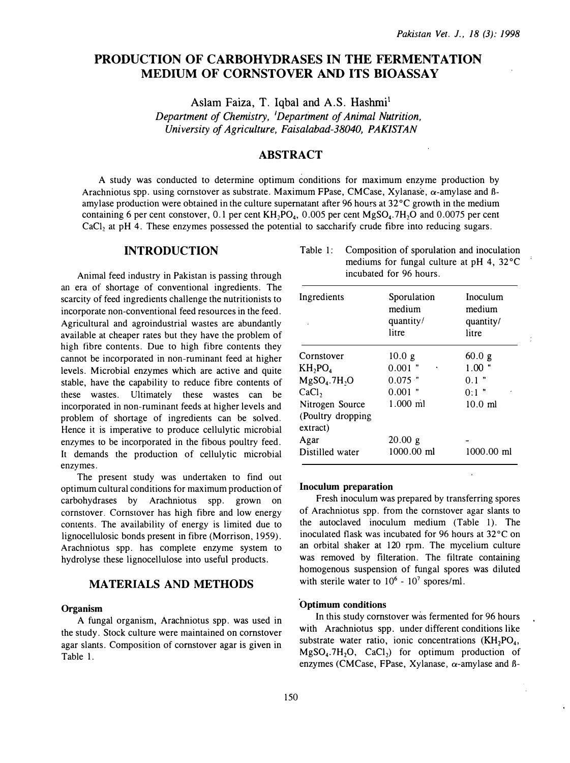# PRODUCTION OF CARBOHYDRASES IN THE FERMENTATION MEDIUM OF CORNSTOVER AND ITS BIOASSAY

Aslam Faiza, T. Iqbal and A.S. Hashmi<sup>1</sup>

Department of Chemistry, <sup>1</sup>Department of Animal Nutrition, University of Agriculture, Faisalabad-38040, PAKISTAN

# **ABSTRACT**

A study was conducted to determine optimum conditions for maximum enzyme production by Arachniotus spp. using cornstover as substrate. Maximum FPase, CMCase, Xylanase,  $\alpha$ -amylase and  $\beta$ amylase production were obtained in the culture supernatant after 96 hours at  $32^{\circ}$ C growth in the medium containing 6 per cent constover, 0.1 per cent  $KH_2PO_4$ , 0.005 per cent  $MgSO_4$ .7H<sub>2</sub>O and 0.0075 per cent  $CaCl<sub>2</sub>$  at pH 4. These enzymes possessed the potential to saccharify crude fibre into reducing sugars.

# INTRODUCTION

Animal feed industry in Pakistan is passing through an era of shortage of conventional ingredients. The scarcity of feed ingredients challenge the nutritionists to incorporate non-conventional feed resources in the feed. Agricultural and agroindustrial wastes are abundantly available at cheaper rates but they have the problem of high fibre contents. Due to high fibre contents they cannot be incorporated in non-ruminant feed at higher levels. Microbial enzymes which are active and quite stable, have the capability to reduce fibre contents of these wastes. Ultimately these wastes can be incorporated in non-ruminant feeds at higher levels and problem of shortage of ingredients can be solved. Hence it is imperative to produce cellulytic microbial enzymes to be incorporated in the fibous poultry feed. It demands the production of cellulytic microbial enzymes.

The present study was undertaken to find out optimum cultural conditions for maximum production of carbohydrases by Arachniotus spp. grown on cornstover. Cornstover has high fibre and low energy contents. The availability of energy is limited due to lignocellulosic bonds present in fibre (Morrison, 1959). Arachniotus spp. has complete enzyme system to hydrolyse these lignocellulose into useful products.

## MATERIALS AND METHODS

#### Organism

A fungal organism, Arachniotus spp. was used in the study. Stock culture were maintained on comstover agar slants. Composition of cornstover agar is given in Table 1.

| Table 1: Composition of sporulation and inoculation |
|-----------------------------------------------------|
| mediums for fungal culture at pH 4, 32 °C           |
| incubated for 96 hours.                             |

| Ingredients                                      | Sporulation<br>medium<br>quantity/<br>litre | Inoculum<br>medium<br>quantity/<br>litre |
|--------------------------------------------------|---------------------------------------------|------------------------------------------|
| Cornstover                                       | 10.0 <sub>g</sub>                           | 60.0 g                                   |
| $KH_2PO_4$                                       | $0.001$ "<br>٠                              | 1.00                                     |
| $MgSO4$ .7H <sub>2</sub> O                       | $0.075$ ."                                  | $0.1$ "                                  |
| CaCl <sub>2</sub>                                | $0.001$ "                                   | $0:1$ "                                  |
| Nitrogen Source<br>(Poultry dropping<br>extract) | $1.000$ ml                                  | $10.0 \text{ ml}$                        |
| Agar                                             | 20.00 g                                     |                                          |
| Distilled water                                  | $1000.00$ ml                                | $1000.00$ ml                             |

#### Inoculum preparation

Fresh inoculum was prepared by transferring spores of Arachniotus spp. from the cornstover agar slants to the autoclaved inoculum medium (Table 1). The inoculated flask was incubated for 96 hours at  $32^{\circ}$ C on an orbital shaker at 120 rpm. The mycelium culture was removed by filteration. The filtrate containing homogenous suspension of fungal spores was diluted with sterile water to  $10^6 \text{ - } 10^7$  spores/ml.

### Optimum conditions

In this study comstover was fermented for 96 hours with Arachniotus spp. under different conditions like substrate water ratio, ionic concentrations  $(KH_2PO_4)$ ,  $MgSO<sub>4</sub>$ .7H<sub>2</sub>O, CaCl<sub>2</sub>) for optimum production of enzymes (CMCase, FPase, Xylanase,  $\alpha$ -amylase and B-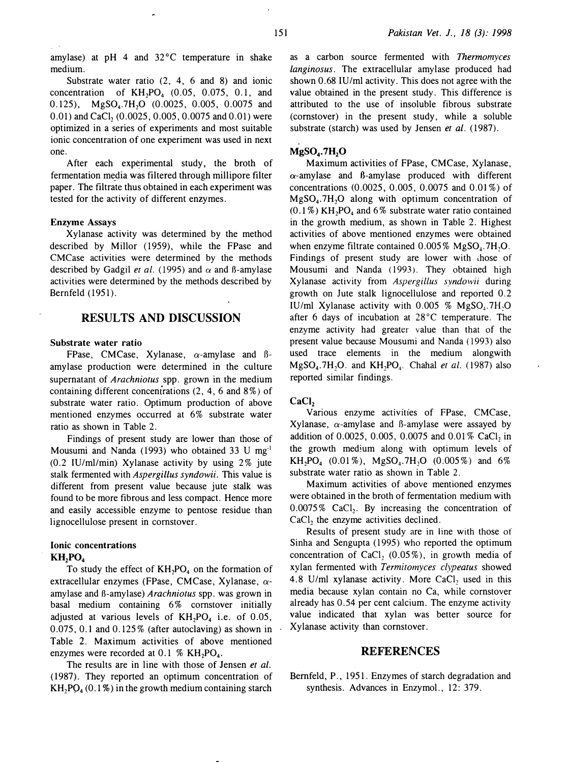amylase) at pH 4 and 32°C temperature in shake medium.

Substrate water ratio (2, 4, 6 and 8) and ionic concentration of  $KH_2PO_4$  (0.05, 0.075, 0.1, and 0.125),  $MgSO<sub>4</sub>$ .7H<sub>2</sub>O (0.0025, 0.005, 0.0075 and  $(0.01)$  and CaCl,  $(0.0025, 0.005, 0.0075$  and  $(0.01)$  were optimized in a series of experiments and most suitable ionic concentration of one experiment was used in next one.

After each experimental study, the broth of fermentation media was filtered through millipore filter paper. The filtrate thus obtained in each experiment was tested for the activity of different enzymes.

### Enzyme Assays

Xylanase activity was determined by the method described by Millor (1959), while the FPase and CMCase activities were determined by the methods described by Gadgil et al. (1995) and  $\alpha$  and B-amylase activities were determined by the methods described by Bernfeld ( 1951).

# RESULTS AND DISCUSSION

### Substrate water ratio

FPase, CMCase, Xylanase,  $\alpha$ -amylase and ßamylase production were determined in the culture supernatant of *Arachniotus* spp. grown in the medium containing different concentrations (2, 4, 6 and 8%) of substrate water ratio. Optimum production of above mentioned enzymes occurred at 6% substrate water ratio as shown in Table 2.

Findings of present study are lower than those of Mousumi and Nanda (1993) who obtained 33 U mg·1  $(0.2 \text{ IU/ml/min})$  Xylanase activity by using 2% jute stalk fermented with *Aspergillus syndowii*. This value is different from present value because jute stalk was found to be more fibrous and less compact. Hence more and easily accessible enzyme to pentose residue than lignocellulose present in comstover.

### Ionic concentrations  $KH, PO<sub>4</sub>$

To study the effect of  $KH_2PO_4$  on the formation of extracellular enzymes (FPase, CMCase, Xylanase,  $\alpha$ amylase and B-amylase) Arachniotus spp. was grown in basal medium containing 6% comstover initially adjusted at various levels of  $KH_2PO_4$  i.e. of 0.05, 0.075, 0.1 and 0.125% (after autoclaving) as shown in Table 2. Maximum activities of above mentioned enzymes were recorded at  $0.1\%$  KH<sub>2</sub>PO<sub>4</sub>.

The results are in line with those of Jensen et al. ( 1987). They reported an optimum concentration of  $KH, PO<sub>4</sub> (0.1%)$  in the growth medium containing starch as a carbon source fermented with Thermomyces langinosus. The extracellular amylase produced had shown 0.68 IU/ml activity. This does not agree with the value obtained in the present study. This difference is attributed to the use of insoluble fibrous substrate (comstover) in the present study, while a soluble substrate (starch) was used by Jensen et al. (1987).

### $MgSO<sub>4</sub>$ .7H<sub>2</sub>O

Maximum activities of FPase, CMCase, Xylanase,  $\alpha$ -amylase and B-amylase produced with different concentrations (0.0025, 0.005, 0.0075 and 0.01 %) of  $MgSO<sub>4</sub>$ .7H<sub>2</sub>O along with optimum concentration of  $(0.1\%)$  KH<sub>2</sub>PO<sub>4</sub> and 6% substrate water ratio contained in the growth medium, as shown in Table 2. Highest activities of above mentioned enzymes were obtained when enzyme filtrate contained  $0.005\%$  MgSO<sub>4</sub>.7H<sub>2</sub>O. Findings of present study are lower with those of Mousumi and Nanda (1993). They obtained high Xylanase activity from Aspergillus syndowii during growth on Jute stalk lignocellulose and reported 0.2 IU/ml Xylanase activity with  $0.005\%$  MgSO<sub>1</sub>.7H<sub>2</sub>O after 6 days of incubation at 28°C temperature. The enzyme activity had greater value than that of the present value because Mousumi and Nanda (1993) also used trace elements in the medium alongwith  $MgSO<sub>4</sub>$ .7H<sub>2</sub>O. and KH<sub>2</sub>PO<sub>4</sub>. Chahal et al. (1987) also reported similar findings.

#### CaCl<sub>2</sub>

Various enzyme activities of FPase, CMCase, Xylanase,  $\alpha$ -amylase and B-amylase were assayed by addition of 0.0025, 0.005, 0.0075 and 0.01% CaCl, in the growth medium along with optimum levels of  $KH_2PO_4$  (0.01%), MgSO<sub>4</sub>.7H<sub>1</sub>O (0.005%) and 6% substrate water ratio as shown in Table 2.

Maximum activities of above mentioned enzymes were obtained in the broth of fermentation medium with  $0.0075\%$  CaCl<sub>2</sub>. By increasing the concentration of CaCl, the enzyme activities declined.

Results of present study are in line with those of Sinha and Sengupta (1995) who reported the optimum concentration of CaCl,  $(0.05\%)$ , in growth media of xylan fermented with Termitomyces clypeatus showed 4.8 U/ml xylanase activity. More CaCl, used in this media because xylan contain no Ca, while cornstover already has 0.54 per cent calcium. The enzyme activity value indicated that xylan was better source for Xylanase activity than cornstover.

## REFERENCES

Bemfeld, P., 1951. Enzymes of starch degradation and synthesis. Advances in Enzymol., 12: 379.